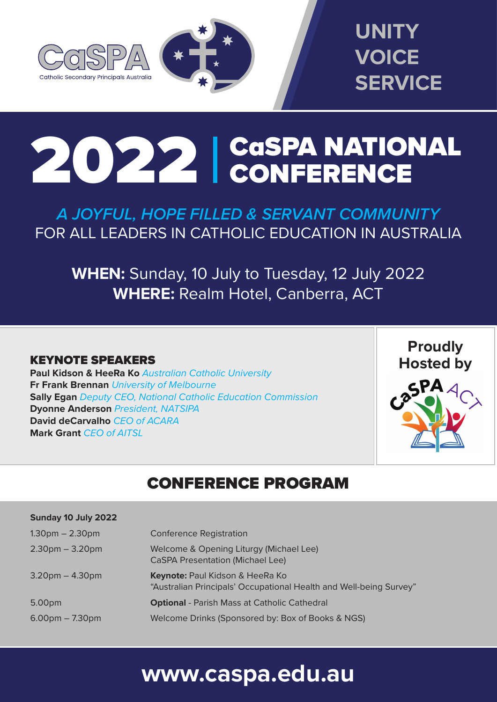



# 2022 CaSPA NATIONAL CONFERENCE

*A JOYFUL, HOPE FILLED & SERVANT COMMUNITY* FOR ALL LEADERS IN CATHOLIC EDUCATION IN AUSTRALIA

**WHEN:** Sunday, 10 July to Tuesday, 12 July 2022 **WHERE:** Realm Hotel, Canberra, ACT

### KEYNOTE SPEAKERS

**Paul Kidson & HeeRa Ko** *Australian Catholic University* **Fr Frank Brennan** *University of Melbourne* **Sally Egan** *Deputy CEO, National Catholic Education Commission* **Dyonne Anderson** *President, NATSIPA*  **David deCarvalho** *CEO of ACARA* **Mark Grant** *CEO of AITSL*



## CONFERENCE PROGRAM

| Sunday 10 July 2022               |                                                                                                                  |
|-----------------------------------|------------------------------------------------------------------------------------------------------------------|
| $1.30pm - 2.30pm$                 | <b>Conference Registration</b>                                                                                   |
| $2.30pm - 3.20pm$                 | Welcome & Opening Liturgy (Michael Lee)<br><b>CaSPA Presentation (Michael Lee)</b>                               |
| $3.20$ pm $- 4.30$ pm             | <b>Keynote: Paul Kidson &amp; HeeRa Ko</b><br>"Australian Principals' Occupational Health and Well-being Survey" |
| 5.00 <sub>pm</sub>                | <b>Optional</b> - Parish Mass at Catholic Cathedral                                                              |
| $6.00 \text{pm} - 7.30 \text{pm}$ | Welcome Drinks (Sponsored by: Box of Books & NGS)                                                                |

## **www.caspa.edu.au**